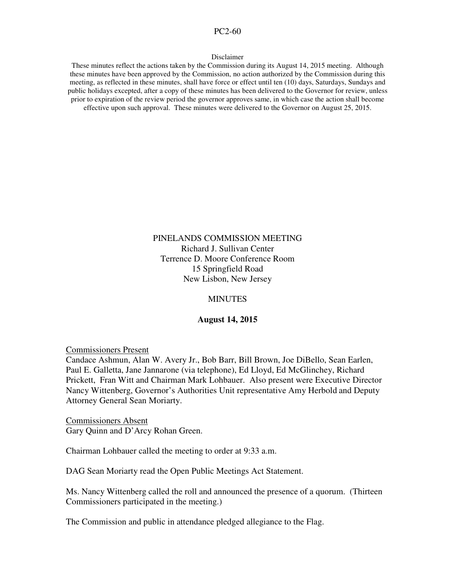#### PC2-60

#### Disclaimer

These minutes reflect the actions taken by the Commission during its August 14, 2015 meeting. Although these minutes have been approved by the Commission, no action authorized by the Commission during this meeting, as reflected in these minutes, shall have force or effect until ten (10) days, Saturdays, Sundays and public holidays excepted, after a copy of these minutes has been delivered to the Governor for review, unless prior to expiration of the review period the governor approves same, in which case the action shall become effective upon such approval. These minutes were delivered to the Governor on August 25, 2015.

## PINELANDS COMMISSION MEETING Richard J. Sullivan Center Terrence D. Moore Conference Room 15 Springfield Road New Lisbon, New Jersey

#### MINUTES

#### **August 14, 2015**

Commissioners Present

Candace Ashmun, Alan W. Avery Jr., Bob Barr, Bill Brown, Joe DiBello, Sean Earlen, Paul E. Galletta, Jane Jannarone (via telephone), Ed Lloyd, Ed McGlinchey, Richard Prickett, Fran Witt and Chairman Mark Lohbauer. Also present were Executive Director Nancy Wittenberg, Governor's Authorities Unit representative Amy Herbold and Deputy Attorney General Sean Moriarty.

Commissioners Absent Gary Quinn and D'Arcy Rohan Green.

Chairman Lohbauer called the meeting to order at 9:33 a.m.

DAG Sean Moriarty read the Open Public Meetings Act Statement.

Ms. Nancy Wittenberg called the roll and announced the presence of a quorum. (Thirteen Commissioners participated in the meeting.)

The Commission and public in attendance pledged allegiance to the Flag.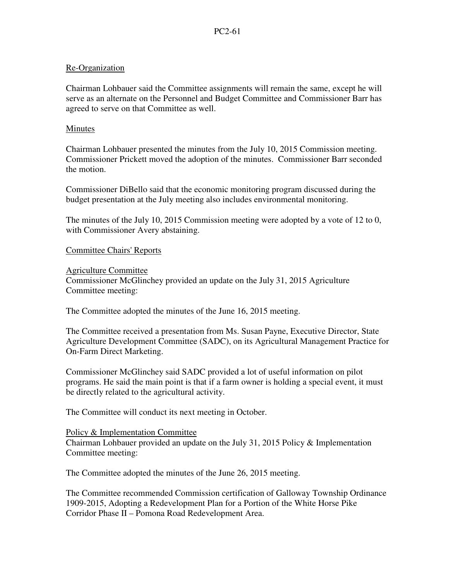## Re-Organization

Chairman Lohbauer said the Committee assignments will remain the same, except he will serve as an alternate on the Personnel and Budget Committee and Commissioner Barr has agreed to serve on that Committee as well.

## Minutes

Chairman Lohbauer presented the minutes from the July 10, 2015 Commission meeting. Commissioner Prickett moved the adoption of the minutes. Commissioner Barr seconded the motion.

Commissioner DiBello said that the economic monitoring program discussed during the budget presentation at the July meeting also includes environmental monitoring.

The minutes of the July 10, 2015 Commission meeting were adopted by a vote of 12 to 0, with Commissioner Avery abstaining.

# Committee Chairs' Reports

Agriculture Committee Commissioner McGlinchey provided an update on the July 31, 2015 Agriculture Committee meeting:

The Committee adopted the minutes of the June 16, 2015 meeting.

The Committee received a presentation from Ms. Susan Payne, Executive Director, State Agriculture Development Committee (SADC), on its Agricultural Management Practice for On-Farm Direct Marketing.

Commissioner McGlinchey said SADC provided a lot of useful information on pilot programs. He said the main point is that if a farm owner is holding a special event, it must be directly related to the agricultural activity.

The Committee will conduct its next meeting in October.

## Policy & Implementation Committee

Chairman Lohbauer provided an update on the July 31, 2015 Policy & Implementation Committee meeting:

The Committee adopted the minutes of the June 26, 2015 meeting.

The Committee recommended Commission certification of Galloway Township Ordinance 1909-2015, Adopting a Redevelopment Plan for a Portion of the White Horse Pike Corridor Phase II – Pomona Road Redevelopment Area.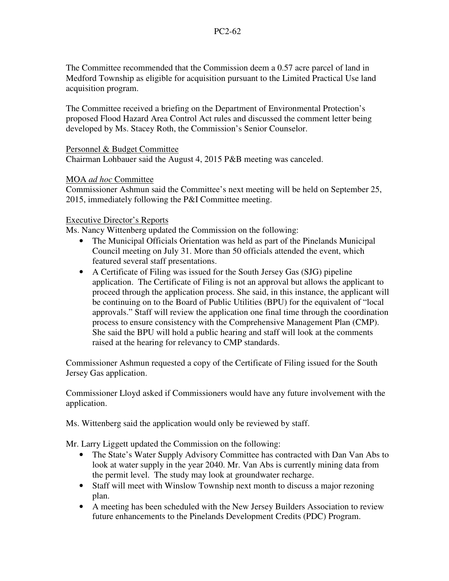The Committee recommended that the Commission deem a 0.57 acre parcel of land in Medford Township as eligible for acquisition pursuant to the Limited Practical Use land acquisition program.

The Committee received a briefing on the Department of Environmental Protection's proposed Flood Hazard Area Control Act rules and discussed the comment letter being developed by Ms. Stacey Roth, the Commission's Senior Counselor.

## Personnel & Budget Committee

Chairman Lohbauer said the August 4, 2015 P&B meeting was canceled.

## MOA *ad hoc* Committee

Commissioner Ashmun said the Committee's next meeting will be held on September 25, 2015, immediately following the P&I Committee meeting.

## Executive Director's Reports

Ms. Nancy Wittenberg updated the Commission on the following:

- The Municipal Officials Orientation was held as part of the Pinelands Municipal Council meeting on July 31. More than 50 officials attended the event, which featured several staff presentations.
- A Certificate of Filing was issued for the South Jersey Gas (SJG) pipeline application. The Certificate of Filing is not an approval but allows the applicant to proceed through the application process. She said, in this instance, the applicant will be continuing on to the Board of Public Utilities (BPU) for the equivalent of "local approvals." Staff will review the application one final time through the coordination process to ensure consistency with the Comprehensive Management Plan (CMP). She said the BPU will hold a public hearing and staff will look at the comments raised at the hearing for relevancy to CMP standards.

Commissioner Ashmun requested a copy of the Certificate of Filing issued for the South Jersey Gas application.

Commissioner Lloyd asked if Commissioners would have any future involvement with the application.

Ms. Wittenberg said the application would only be reviewed by staff.

Mr. Larry Liggett updated the Commission on the following:

- The State's Water Supply Advisory Committee has contracted with Dan Van Abs to look at water supply in the year 2040. Mr. Van Abs is currently mining data from the permit level. The study may look at groundwater recharge.
- Staff will meet with Winslow Township next month to discuss a major rezoning plan.
- A meeting has been scheduled with the New Jersey Builders Association to review future enhancements to the Pinelands Development Credits (PDC) Program.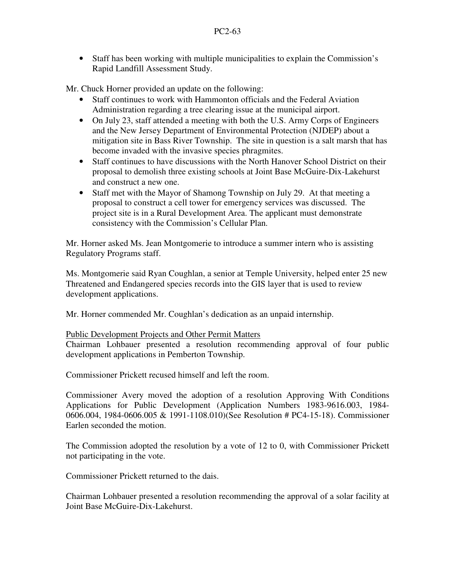• Staff has been working with multiple municipalities to explain the Commission's Rapid Landfill Assessment Study.

Mr. Chuck Horner provided an update on the following:

- Staff continues to work with Hammonton officials and the Federal Aviation Administration regarding a tree clearing issue at the municipal airport.
- On July 23, staff attended a meeting with both the U.S. Army Corps of Engineers and the New Jersey Department of Environmental Protection (NJDEP) about a mitigation site in Bass River Township. The site in question is a salt marsh that has become invaded with the invasive species phragmites.
- Staff continues to have discussions with the North Hanover School District on their proposal to demolish three existing schools at Joint Base McGuire-Dix-Lakehurst and construct a new one.
- Staff met with the Mayor of Shamong Township on July 29. At that meeting a proposal to construct a cell tower for emergency services was discussed. The project site is in a Rural Development Area. The applicant must demonstrate consistency with the Commission's Cellular Plan.

Mr. Horner asked Ms. Jean Montgomerie to introduce a summer intern who is assisting Regulatory Programs staff.

Ms. Montgomerie said Ryan Coughlan, a senior at Temple University, helped enter 25 new Threatened and Endangered species records into the GIS layer that is used to review development applications.

Mr. Horner commended Mr. Coughlan's dedication as an unpaid internship.

## Public Development Projects and Other Permit Matters

Chairman Lohbauer presented a resolution recommending approval of four public development applications in Pemberton Township.

Commissioner Prickett recused himself and left the room.

Commissioner Avery moved the adoption of a resolution Approving With Conditions Applications for Public Development (Application Numbers 1983-9616.003, 1984- 0606.004, 1984-0606.005 & 1991-1108.010)(See Resolution # PC4-15-18). Commissioner Earlen seconded the motion.

The Commission adopted the resolution by a vote of 12 to 0, with Commissioner Prickett not participating in the vote.

Commissioner Prickett returned to the dais.

Chairman Lohbauer presented a resolution recommending the approval of a solar facility at Joint Base McGuire-Dix-Lakehurst.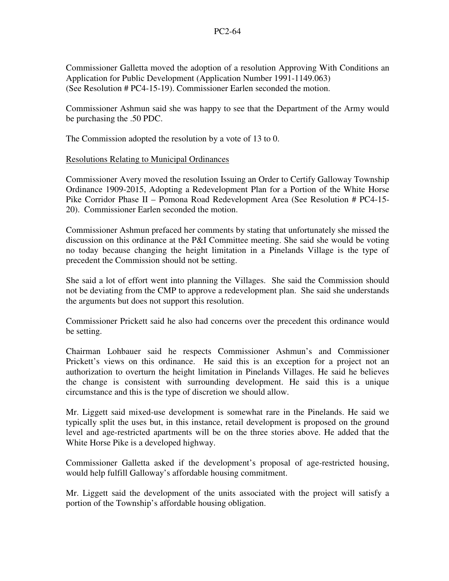Commissioner Galletta moved the adoption of a resolution Approving With Conditions an Application for Public Development (Application Number 1991-1149.063) (See Resolution # PC4-15-19). Commissioner Earlen seconded the motion.

Commissioner Ashmun said she was happy to see that the Department of the Army would be purchasing the .50 PDC.

The Commission adopted the resolution by a vote of 13 to 0.

## Resolutions Relating to Municipal Ordinances

Commissioner Avery moved the resolution Issuing an Order to Certify Galloway Township Ordinance 1909-2015, Adopting a Redevelopment Plan for a Portion of the White Horse Pike Corridor Phase II – Pomona Road Redevelopment Area (See Resolution # PC4-15- 20). Commissioner Earlen seconded the motion.

Commissioner Ashmun prefaced her comments by stating that unfortunately she missed the discussion on this ordinance at the P&I Committee meeting. She said she would be voting no today because changing the height limitation in a Pinelands Village is the type of precedent the Commission should not be setting.

She said a lot of effort went into planning the Villages. She said the Commission should not be deviating from the CMP to approve a redevelopment plan. She said she understands the arguments but does not support this resolution.

Commissioner Prickett said he also had concerns over the precedent this ordinance would be setting.

Chairman Lohbauer said he respects Commissioner Ashmun's and Commissioner Prickett's views on this ordinance. He said this is an exception for a project not an authorization to overturn the height limitation in Pinelands Villages. He said he believes the change is consistent with surrounding development. He said this is a unique circumstance and this is the type of discretion we should allow.

Mr. Liggett said mixed-use development is somewhat rare in the Pinelands. He said we typically split the uses but, in this instance, retail development is proposed on the ground level and age-restricted apartments will be on the three stories above. He added that the White Horse Pike is a developed highway.

Commissioner Galletta asked if the development's proposal of age-restricted housing, would help fulfill Galloway's affordable housing commitment.

Mr. Liggett said the development of the units associated with the project will satisfy a portion of the Township's affordable housing obligation.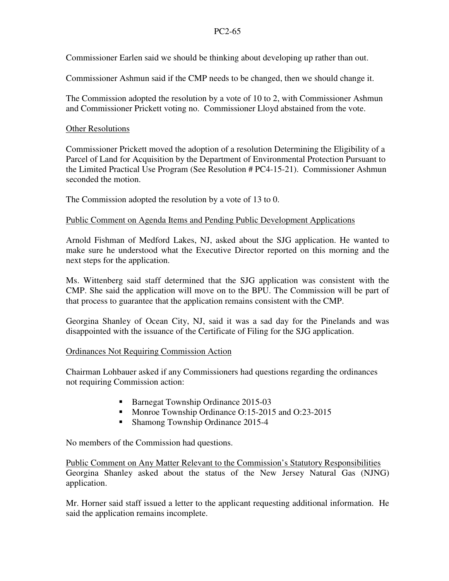## PC2-65

Commissioner Earlen said we should be thinking about developing up rather than out.

Commissioner Ashmun said if the CMP needs to be changed, then we should change it.

The Commission adopted the resolution by a vote of 10 to 2, with Commissioner Ashmun and Commissioner Prickett voting no. Commissioner Lloyd abstained from the vote.

## Other Resolutions

Commissioner Prickett moved the adoption of a resolution Determining the Eligibility of a Parcel of Land for Acquisition by the Department of Environmental Protection Pursuant to the Limited Practical Use Program (See Resolution # PC4-15-21). Commissioner Ashmun seconded the motion.

The Commission adopted the resolution by a vote of 13 to 0.

# Public Comment on Agenda Items and Pending Public Development Applications

Arnold Fishman of Medford Lakes, NJ, asked about the SJG application. He wanted to make sure he understood what the Executive Director reported on this morning and the next steps for the application.

Ms. Wittenberg said staff determined that the SJG application was consistent with the CMP. She said the application will move on to the BPU. The Commission will be part of that process to guarantee that the application remains consistent with the CMP.

Georgina Shanley of Ocean City, NJ, said it was a sad day for the Pinelands and was disappointed with the issuance of the Certificate of Filing for the SJG application.

# Ordinances Not Requiring Commission Action

Chairman Lohbauer asked if any Commissioners had questions regarding the ordinances not requiring Commission action:

- Barnegat Township Ordinance 2015-03
- Monroe Township Ordinance O:15-2015 and O:23-2015
- Shamong Township Ordinance 2015-4

No members of the Commission had questions.

Public Comment on Any Matter Relevant to the Commission's Statutory Responsibilities Georgina Shanley asked about the status of the New Jersey Natural Gas (NJNG) application.

Mr. Horner said staff issued a letter to the applicant requesting additional information. He said the application remains incomplete.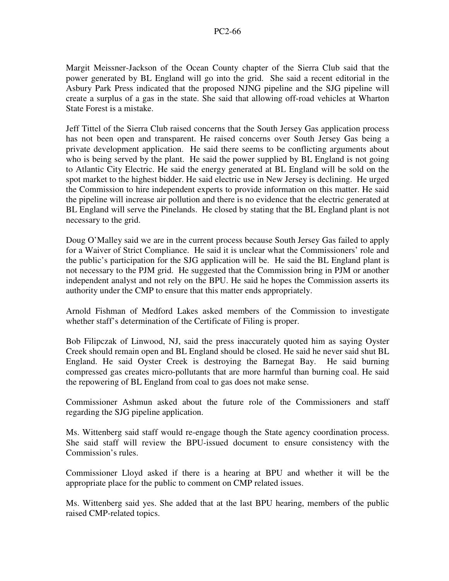Margit Meissner-Jackson of the Ocean County chapter of the Sierra Club said that the power generated by BL England will go into the grid. She said a recent editorial in the Asbury Park Press indicated that the proposed NJNG pipeline and the SJG pipeline will create a surplus of a gas in the state. She said that allowing off-road vehicles at Wharton State Forest is a mistake.

Jeff Tittel of the Sierra Club raised concerns that the South Jersey Gas application process has not been open and transparent. He raised concerns over South Jersey Gas being a private development application. He said there seems to be conflicting arguments about who is being served by the plant. He said the power supplied by BL England is not going to Atlantic City Electric. He said the energy generated at BL England will be sold on the spot market to the highest bidder. He said electric use in New Jersey is declining. He urged the Commission to hire independent experts to provide information on this matter. He said the pipeline will increase air pollution and there is no evidence that the electric generated at BL England will serve the Pinelands. He closed by stating that the BL England plant is not necessary to the grid.

Doug O'Malley said we are in the current process because South Jersey Gas failed to apply for a Waiver of Strict Compliance. He said it is unclear what the Commissioners' role and the public's participation for the SJG application will be. He said the BL England plant is not necessary to the PJM grid. He suggested that the Commission bring in PJM or another independent analyst and not rely on the BPU. He said he hopes the Commission asserts its authority under the CMP to ensure that this matter ends appropriately.

Arnold Fishman of Medford Lakes asked members of the Commission to investigate whether staff's determination of the Certificate of Filing is proper.

Bob Filipczak of Linwood, NJ, said the press inaccurately quoted him as saying Oyster Creek should remain open and BL England should be closed. He said he never said shut BL England. He said Oyster Creek is destroying the Barnegat Bay. He said burning compressed gas creates micro-pollutants that are more harmful than burning coal. He said the repowering of BL England from coal to gas does not make sense.

Commissioner Ashmun asked about the future role of the Commissioners and staff regarding the SJG pipeline application.

Ms. Wittenberg said staff would re-engage though the State agency coordination process. She said staff will review the BPU-issued document to ensure consistency with the Commission's rules.

Commissioner Lloyd asked if there is a hearing at BPU and whether it will be the appropriate place for the public to comment on CMP related issues.

Ms. Wittenberg said yes. She added that at the last BPU hearing, members of the public raised CMP-related topics.